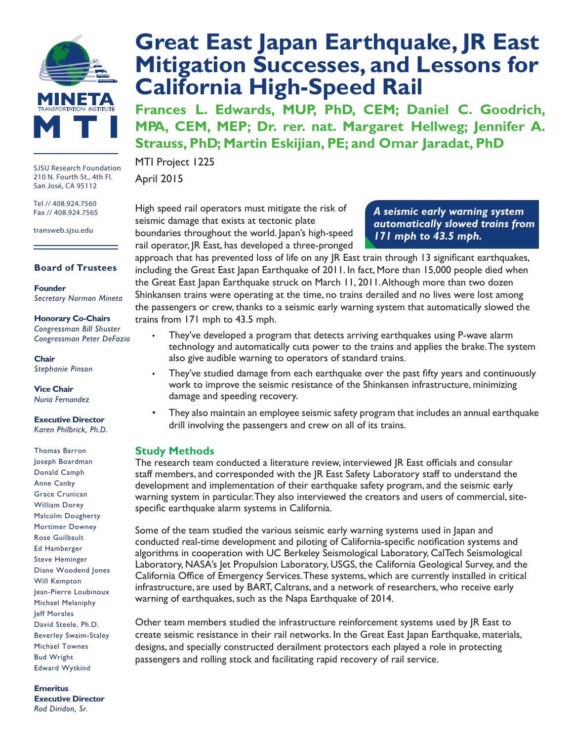

SJSU Research Foundation 210 N. Fourth St., 4th Fl. San José, CA 95112

Tel // 408.924.7560 Fax // 408.924.7565

transweb.sjsu.edu

#### **Board of Trustees**

**Founder** *Secretary Norman Mineta*

#### **Honorary Co-Chairs**

*Congressman Bill Shuster Congressman Peter DeFazio*

**Chair** *Stephanie Pinson*

**Vice Chair** *Nuria Fernandez*

**Executive Director** *Karen Philbrick, Ph.D.*

Thomas Barron Joseph Boardman Donald Camph Anne Canby Grace Crunican William Dorey Malcolm Dougherty Mortimer Downey Rose Guilbault Ed Hamberger Steve Heminger Diane Woodend Jones Will Kempton Jean-Pierre Loubinoux Michael Melaniphy Jeff Morales David Steele, Ph.D. Beverley Swaim-Staley Michael Townes Bud Wright Edward Wytkind

**Emeritus Executive Director** *Rod Diridon, Sr.*

# **[Great East Japan Earthquake, JR East](http://transweb.sjsu.edu/project/1225.html) [Mitigation Successes, and Lessons for](http://transweb.sjsu.edu/project/1225.html)  [California High-Speed Rail](http://transweb.sjsu.edu/project/1225.html)**

**Frances L. Edwards, MUP, PhD, CEM; Daniel C. Goodrich, MPA, CEM, MEP; Dr. rer. nat. Margaret Hellweg; Jennifer A. Strauss, PhD; Martin Eskijian, P E; and Omar Jaradat, PhD**

MTI Project 1225

April 2015

High speed rail operators must mitigate the risk of seismic damage that exists at tectonic plate boundaries throughout the world. Japan's high-speed rail operator, JR East, has developed a three-pronged

*A seismic early warning system automatically slowed trains from 171 mph to 43.5 mph.*

approach that has prevented loss of life on any JR East train through 13 significant earthquakes, including the Great East Japan Earthquake of 2011. In fact, More than 15,000 people died when the Great East Japan Earthquake struck on March 11, 2011. Although more than two dozen Shinkansen trains were operating at the time, no trains derailed and no lives were lost among the passengers or crew, thanks to a seismic early warning system that automatically slowed the trains from 171 mph to 43.5 mph.

- They've developed a program that detects arriving earthquakes using P-wave alarm technology and automatically cuts power to the trains and applies the brake. The system also give audible warning to operators of standard trains.
- They've studied damage from each earthquake over the past fifty years and continuously work to improve the seismic resistance of the Shinkansen infrastructure, minimizing damage and speeding recovery.
- They also maintain an employee seismic safety program that includes an annual earthquake drill involving the passengers and crew on all of its trains.

#### **Study Methods**

The research team conducted a literature review, interviewed JR East officials and consular staff members, and corresponded with the JR East Safety Laboratory staff to understand the development and implementation of their earthquake safety program, and the seismic early warning system in particular. They also interviewed the creators and users of commercial, sitespecific earthquake alarm systems in California.

Some of the team studied the various seismic early warning systems used in Japan and conducted real-time development and piloting of California-specific notification systems and algorithms in cooperation with UC Berkeley Seismological Laboratory, CalTech Seismological Laboratory, NASA's Jet Propulsion Laboratory, USGS, the California Geological Survey, and the California Office of Emergency Services. These systems, which are currently installed in critical infrastructure, are used by BART, Caltrans, and a network of researchers, who receive early warning of earthquakes, such as the Napa Earthquake of 2014.

Other team members studied the infrastructure reinforcement systems used by JR East to create seismic resistance in their rail networks. In the Great East Japan Earthquake, materials, designs, and specially constructed derailment protectors each played a role in protecting passengers and rolling stock and facilitating rapid recovery of rail service.